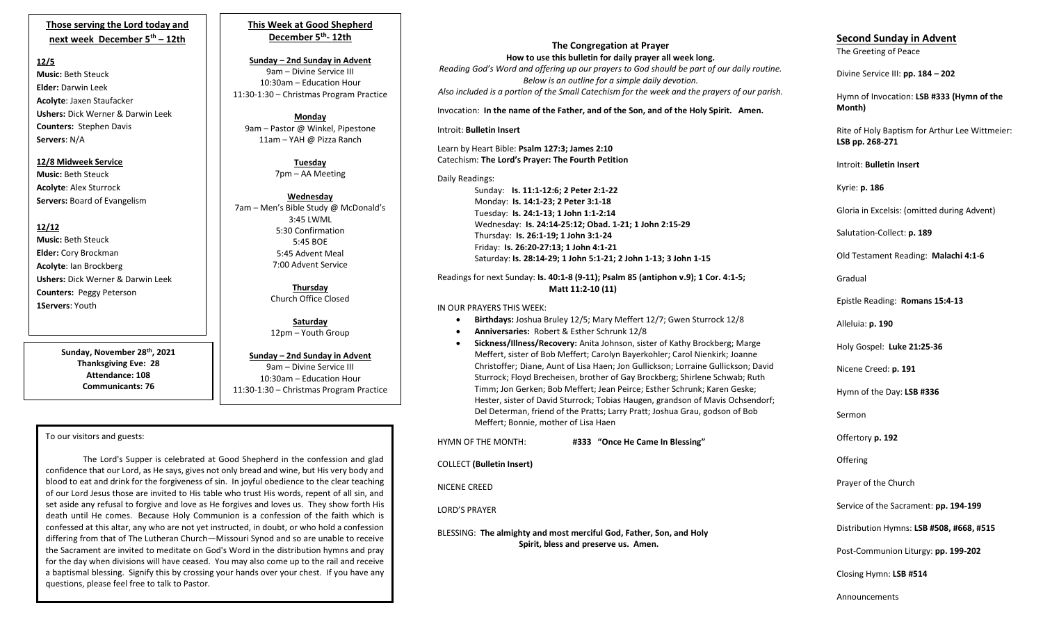## **Those serving the Lord today and next week December 5th – 12th**

### **12/5**

**Music:** Beth Steuck **Elder:** Darwin Leek **Acolyte**: Jaxen Staufacker **Ushers:** Dick Werner & Darwin Leek **Counters:** Stephen Davis **Servers**: N/A

### **12/8 Midweek Service**

**Music:** Beth Steuck **Acolyte**: Alex Sturrock **Servers:** Board of Evangelism

# **12/12**

**Music:** Beth Steuck **Elder:** Cory Brockman **Acolyte**: Ian Brockberg **Ushers:** Dick Werner & Darwin Leek **Counters:** Peggy Peterson **1Servers**: Youth

> **Sunday, November 28th, 2021 Thanksgiving Eve: 28 Attendance: 108 Communicants: 76**

## **This Week at Good Shepherd December 5th - 12th**

**Sunday – 2nd Sunday in Advent** 9am – Divine Service III 10:30am – Education Hour 11:30-1:30 – Christmas Program Practice

**Monday** 9am – Pastor @ Winkel, Pipestone 11am – YAH @ Pizza Ranch

> **Tuesday** 7pm – AA Meeting

**Wednesday** 7am – Men's Bible Study @ McDonald's 3:45 LWML 5:30 Confirmation 5:45 BOE 5:45 Advent Meal 7:00 Advent Service

> **Thursday**  Church Office Closed

> **Saturday** 12pm – Youth Group

#### **Sunday – 2nd Sunday in Advent**

9am – Divine Service III 10:30am – Education Hour 11:30-1:30 – Christmas Program Practice

### To our visitors and guests:

 differing from that of The Lutheran Church—Missouri Synod and so are unable to receive The Lord's Supper is celebrated at Good Shepherd in the confession and glad confidence that our Lord, as He says, gives not only bread and wine, but His very body and blood to eat and drink for the forgiveness of sin. In joyful obedience to the clear teaching of our Lord Jesus those are invited to His table who trust His words, repent of all sin, and set aside any refusal to forgive and love as He forgives and loves us. They show forth His death until He comes. Because Holy Communion is a confession of the faith which is confessed at this altar, any who are not yet instructed, in doubt, or who hold a confession the Sacrament are invited to meditate on God's Word in the distribution hymns and pray for the day when divisions will have ceased. You may also come up to the rail and receive a baptismal blessing. Signify this by crossing your hands over your chest. If you have any questions, please feel free to talk to Pastor.

## **The Congregation at Prayer How to use this bulletin for daily prayer all week long.**

*Reading God's Word and offering up our prayers to God should be part of our daily routine. Below is an outline for a simple daily devotion. Also included is a portion of the Small Catechism for the week and the prayers of our parish.*

Invocation: **In the name of the Father, and of the Son, and of the Holy Spirit. Amen.**

#### Introit: **Bulletin Insert**

Learn by Heart Bible: **Psalm 127:3; James 2:10** Catechism: **The Lord's Prayer: The Fourth Petition**

Daily Readings:

Sunday: **Is. 11:1-12:6; 2 Peter 2:1-22** Monday: **Is. 14:1-23; 2 Peter 3:1-18** Tuesday: **Is. 24:1-13; 1 John 1:1-2:14** Wednesday: **Is. 24:14-25:12; Obad. 1-21; 1 John 2:15-29** Thursday: **Is. 26:1-19; 1 John 3:1-24** Friday: **Is. 26:20-27:13; 1 John 4:1-21** Saturday: **Is. 28:14-29; 1 John 5:1-21; 2 John 1-13; 3 John 1-15**

#### Readings for next Sunday: **Is. 40:1-8 (9-11); Psalm 85 (antiphon v.9); 1 Cor. 4:1-5; Matt 11:2-10 (11)**

#### IN OUR PRAYERS THIS WEEK:

- **Birthdays:** Joshua Bruley 12/5; Mary Meffert 12/7; Gwen Sturrock 12/8
- **Anniversaries:** Robert & Esther Schrunk 12/8
- **Sickness/Illness/Recovery:** Anita Johnson, sister of Kathy Brockberg; Marge Meffert, sister of Bob Meffert; Carolyn Bayerkohler; Carol Nienkirk; Joanne Christoffer; Diane, Aunt of Lisa Haen; Jon Gullickson; Lorraine Gullickson; David Sturrock; Floyd Brecheisen, brother of Gay Brockberg; Shirlene Schwab; Ruth Timm; Jon Gerken; Bob Meffert; Jean Peirce; Esther Schrunk; Karen Geske; Hester, sister of David Sturrock; Tobias Haugen, grandson of Mavis Ochsendorf; Del Determan, friend of the Pratts; Larry Pratt; Joshua Grau, godson of Bob Meffert; Bonnie, mother of Lisa Haen

| HYMN OF THE MONTH:                                                                                          | #333 "Once He Came In Blessing" |  |
|-------------------------------------------------------------------------------------------------------------|---------------------------------|--|
| <b>COLLECT</b> (Bulletin Insert)                                                                            |                                 |  |
| NICENE CREED                                                                                                |                                 |  |
| <b>LORD'S PRAYER</b>                                                                                        |                                 |  |
| BLESSING: The almighty and most merciful God, Father, Son, and Holy<br>Spirit, bless and preserve us. Amen. |                                 |  |
|                                                                                                             |                                 |  |

# **Second Sunday in Advent** The Greeting of Peace

Divine Service III: **pp. 184 – 202**

Hymn of Invocation: **LSB #333 (Hymn of the Month)**

Rite of Holy Baptism for Arthur Lee Wittmeier: **LSB pp. 268-271**

Introit: **Bulletin Insert** 

Kyrie: **p. 186**

Gloria in Excelsis: (omitted during Advent)

Salutation-Collect: **p. 189**

Old Testament Reading: **Malachi 4:1-6**

Gradual

Epistle Reading: **Romans 15:4-13**

Alleluia: **p. 190**

Holy Gospel: **Luke 21:25-36**

Nicene Creed: **p. 191**

Hymn of the Day: **LSB #336**

Sermon

Offertory **p. 192**

**Offering** 

Prayer of the Church

Service of the Sacrament: **pp. 194-199**

Distribution Hymns: **LSB #508, #668, #515**

Post-Communion Liturgy: **pp. 199-202** 

Closing Hymn: **LSB #514**

Announcements